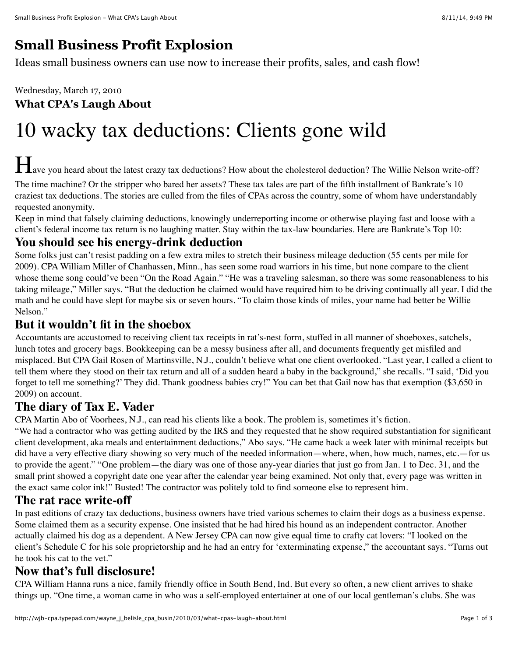## **[Small Business Profit Explosion](http://wjb-cpa.typepad.com/wayne_j_belisle_cpa_busin/)**

Ideas small business owners can use now to increase their profits, sales, and cash flow!

Wednesday, March 17, 2010

## **What CPA's Laugh About**

# 10 wacky tax deductions: Clients gone wild

Have you heard about the latest crazy tax deductions? How about the cholesterol deduction? The Willie Nelson write-off?

The time machine? Or the stripper who bared her assets? These tax tales are part of the fifth installment of Bankrate's 10 craziest tax deductions. The stories are culled from the files of CPAs across the country, some of whom have understandably requested anonymity.

Keep in mind that falsely claiming deductions, knowingly underreporting income or otherwise playing fast and loose with a client's federal income tax return is no laughing matter. Stay within the tax-law boundaries. Here are Bankrate's Top 10:

#### **You should see his energy-drink deduction**

Some folks just can't resist padding on a few extra miles to stretch their business mileage deduction (55 cents per mile for 2009). CPA William Miller of Chanhassen, Minn., has seen some road warriors in his time, but none compare to the client whose theme song could've been "On the Road Again." "He was a traveling salesman, so there was some reasonableness to his taking mileage," Miller says. "But the deduction he claimed would have required him to be driving continually all year. I did the math and he could have slept for maybe six or seven hours. "To claim those kinds of miles, your name had better be Willie Nelson."

## **But it wouldn't fit in the shoebox**

Accountants are accustomed to receiving client tax receipts in rat's-nest form, stuffed in all manner of shoeboxes, satchels, lunch totes and grocery bags. Bookkeeping can be a messy business after all, and documents frequently get misfiled and misplaced. But CPA Gail Rosen of Martinsville, N.J., couldn't believe what one client overlooked. "Last year, I called a client to tell them where they stood on their tax return and all of a sudden heard a baby in the background," she recalls. "I said, 'Did you forget to tell me something?' They did. Thank goodness babies cry!" You can bet that Gail now has that exemption (\$3,650 in 2009) on account.

## **The diary of Tax E. Vader**

CPA Martin Abo of Voorhees, N.J., can read his clients like a book. The problem is, sometimes it's fiction.

"We had a contractor who was getting audited by the IRS and they requested that he show required substantiation for significant client development, aka meals and entertainment deductions," Abo says. "He came back a week later with minimal receipts but did have a very effective diary showing so very much of the needed information—where, when, how much, names, etc.—for us to provide the agent." "One problem—the diary was one of those any-year diaries that just go from Jan. 1 to Dec. 31, and the small print showed a copyright date one year after the calendar year being examined. Not only that, every page was written in the exact same color ink!" Busted! The contractor was politely told to find someone else to represent him.

## **The rat race write-off**

In past editions of crazy tax deductions, business owners have tried various schemes to claim their dogs as a business expense. Some claimed them as a security expense. One insisted that he had hired his hound as an independent contractor. Another actually claimed his dog as a dependent. A New Jersey CPA can now give equal time to crafty cat lovers: "I looked on the client's Schedule C for his sole proprietorship and he had an entry for 'exterminating expense," the accountant says. "Turns out he took his cat to the vet."

## **Now that's full disclosure!**

CPA William Hanna runs a nice, family friendly office in South Bend, Ind. But every so often, a new client arrives to shake things up. "One time, a woman came in who was a self-employed entertainer at one of our local gentleman's clubs. She was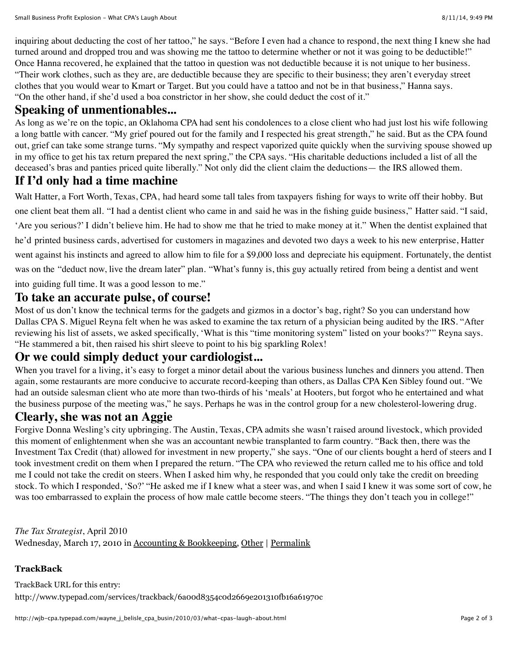inquiring about deducting the cost of her tattoo," he says. "Before I even had a chance to respond, the next thing I knew she had turned around and dropped trou and was showing me the tattoo to determine whether or not it was going to be deductible!" Once Hanna recovered, he explained that the tattoo in question was not deductible because it is not unique to her business. "Their work clothes, such as they are, are deductible because they are specific to their business; they aren't everyday street clothes that you would wear to Kmart or Target. But you could have a tattoo and not be in that business," Hanna says. "On the other hand, if she'd used a boa constrictor in her show, she could deduct the cost of it."

#### **Speaking of unmentionables...**

As long as we're on the topic, an Oklahoma CPA had sent his condolences to a close client who had just lost his wife following a long battle with cancer. "My grief poured out for the family and I respected his great strength," he said. But as the CPA found out, grief can take some strange turns. "My sympathy and respect vaporized quite quickly when the surviving spouse showed up in my office to get his tax return prepared the next spring," the CPA says. "His charitable deductions included a list of all the deceased's bras and panties priced quite liberally." Not only did the client claim the deductions— the IRS allowed them.

## **If I'd only had a time machine**

Walt Hatter, a Fort Worth, Texas, CPA, had heard some tall tales from taxpayers fishing for ways to write off their hobby. But one client beat them all. "I had a dentist client who came in and said he was in the fishing guide business," Hatter said. "I said, 'Are you serious?' I didn't believe him. He had to show me that he tried to make money at it." When the dentist explained that he'd printed business cards, advertised for customers in magazines and devoted two days a week to his new enterprise, Hatter went against his instincts and agreed to allow him to file for a \$9,000 loss and depreciate his equipment. Fortunately, the dentist was on the "deduct now, live the dream later" plan. "What's funny is, this guy actually retired from being a dentist and went into guiding full time. It was a good lesson to me."

#### **To take an accurate pulse, of course!**

Most of us don't know the technical terms for the gadgets and gizmos in a doctor's bag, right? So you can understand how Dallas CPA S. Miguel Reyna felt when he was asked to examine the tax return of a physician being audited by the IRS. "After reviewing his list of assets, we asked specifically, 'What is this "time monitoring system" listed on your books?'" Reyna says. "He stammered a bit, then raised his shirt sleeve to point to his big sparkling Rolex!

#### **Or we could simply deduct your cardiologist...**

When you travel for a living, it's easy to forget a minor detail about the various business lunches and dinners you attend. Then again, some restaurants are more conducive to accurate record-keeping than others, as Dallas CPA Ken Sibley found out. "We had an outside salesman client who ate more than two-thirds of his 'meals' at Hooters, but forgot who he entertained and what the business purpose of the meeting was," he says. Perhaps he was in the control group for a new cholesterol-lowering drug.

## **Clearly, she was not an Aggie**

Forgive Donna Wesling's city upbringing. The Austin, Texas, CPA admits she wasn't raised around livestock, which provided this moment of enlightenment when she was an accountant newbie transplanted to farm country. "Back then, there was the Investment Tax Credit (that) allowed for investment in new property," she says. "One of our clients bought a herd of steers and I took investment credit on them when I prepared the return. "The CPA who reviewed the return called me to his office and told me I could not take the credit on steers. When I asked him why, he responded that you could only take the credit on breeding stock. To which I responded, 'So?' "He asked me if I knew what a steer was, and when I said I knew it was some sort of cow, he was too embarrassed to explain the process of how male cattle become steers. "The things they don't teach you in college!"

#### *The Tax Strategist*, April 2010 Wednesday, March 17, 2010 in [Accounting & Bookkeeping,](http://wjb-cpa.typepad.com/wayne_j_belisle_cpa_busin/accounting_bookkeeping/) [Other](http://wjb-cpa.typepad.com/wayne_j_belisle_cpa_busin/other/) | [Permalink](http://wjb-cpa.typepad.com/wayne_j_belisle_cpa_busin/2010/03/what-cpas-laugh-about.html)

#### **TrackBack**

TrackBack URL for this entry: http://www.typepad.com/services/trackback/6a00d8354c0d2669e201310fb16a61970c